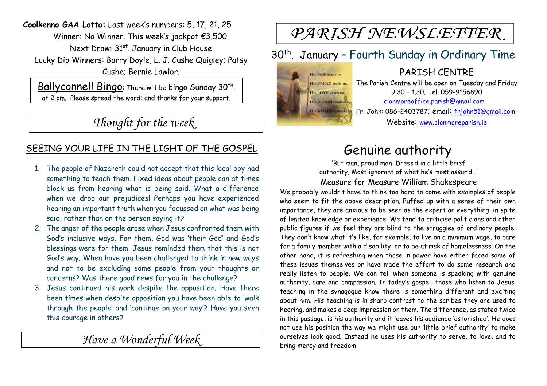**Coolkenno GAA Lotto:** Last week's numbers: 5, 17, 21, 25 Winner: No Winner. This week's jackpot €3,500. Next Draw: 31<sup>st</sup>. January in Club House Lucky Dip Winners: Barry Doyle, L. J. Cushe Quigley; Patsy Cushe; Bernie Lawlor.

Ballyconnell Bingo: There will be bingo Sunday 30<sup>th</sup>. at 2 pm. Please spread the word; and thanks for your support.

*Thought for the week*

### SEEING YOUR LIFE IN THE LIGHT OF THE GOSPEL

- 1. The people of Nazareth could not accept that this local boy had something to teach them. Fixed ideas about people can at times block us from hearing what is being said. What a difference when we drop our prejudices! Perhaps you have experienced hearing an important truth when you focussed on what was being said, rather than on the person saying it?
- 2. The anger of the people arose when Jesus confronted them with God's inclusive ways. For them, God was 'their God' and God's blessings were for them. Jesus reminded them that this is not God's way. When have you been challenged to think in new ways and not to be excluding some people from your thoughts or concerns? Was there good news for you in the challenge?
- 3. Jesus continued his work despite the opposition. Have there been times when despite opposition you have been able to 'walk through the people' and 'continue on your way'? Have you seen this courage in others?

*Have a Wonderful Week* 

# PARISH NEWSLETTER

## 30<sup>th</sup>. January - Fourth Sunday in Ordinary Time



PARISH CENTRE The Parish Centre will be open on Tuesday and Friday 9.30 – 1.30. Tel. 059-9156890 clonmoreoffice.parish@gmail.com Fr. John: 086-2403787; email: frjohn51@gmail.com. Website: www.clonmoreparish.ie

## Genuine authority

'But man, proud man, Dress'd in a little brief authority, Most ignorant of what he's most assur'd…' Measure for Measure William Shakespeare

We probably wouldn't have to think too hard to come with examples of people who seem to fit the above description. Puffed up with a sense of their own importance, they are anxious to be seen as the expert on everything, in spite of limited knowledge or experience. We tend to criticise politicians and other public figures if we feel they are blind to the struggles of ordinary people. They don't know what it's like, for example, to live on a minimum wage, to care for a family member with a disability, or to be at risk of homelessness. On the other hand, it is refreshing when those in power have either faced some of these issues themselves or have made the effort to do some research and really listen to people. We can tell when someone is speaking with genuine authority, care and compassion. In today's gospel, those who listen to Jesus' teaching in the synagogue know there is something different and exciting about him. His teaching is in sharp contrast to the scribes they are used to hearing, and makes a deep impression on them. The difference, as stated twice in this passage, is his authority and it leaves his audience 'astonished'. He does not use his position the way we might use our 'little brief authority' to make ourselves look good. Instead he uses his authority to serve, to love, and to bring mercy and freedom.